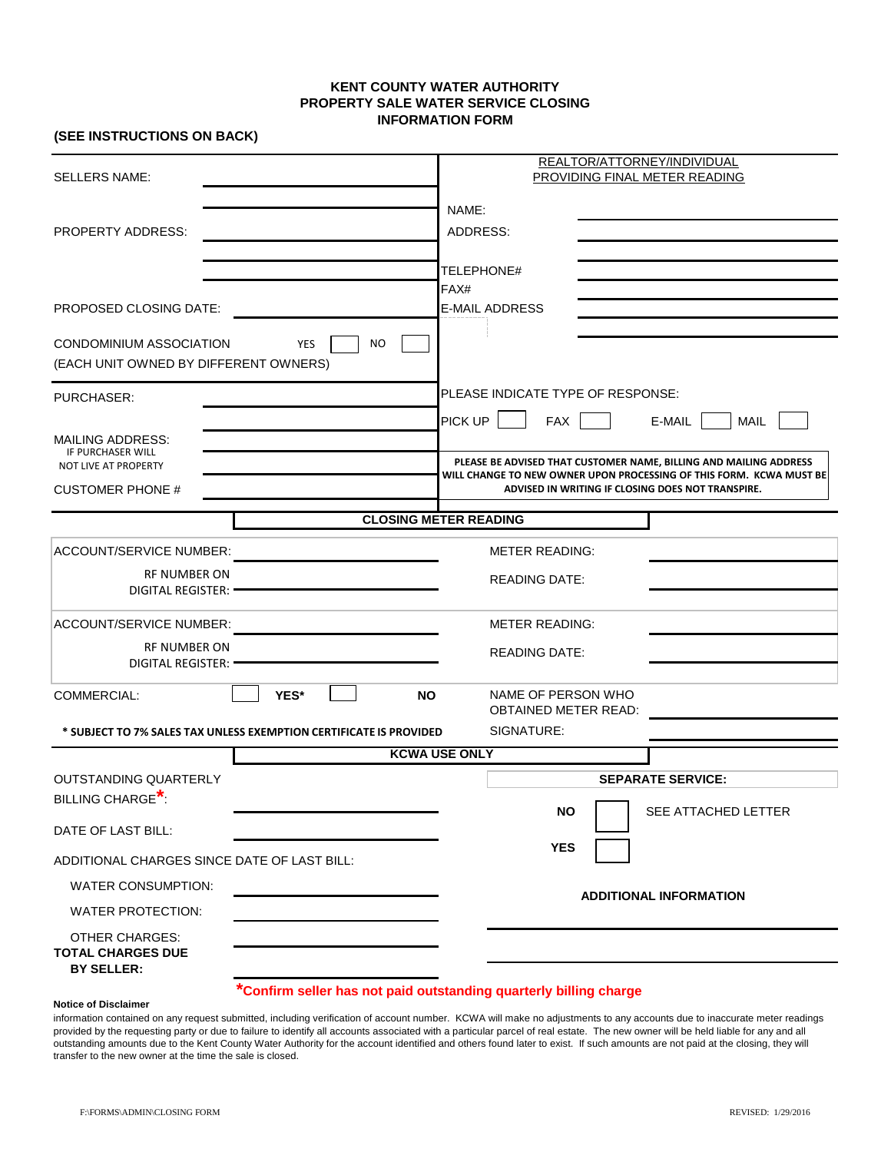#### **KENT COUNTY WATER AUTHORITY PROPERTY SALE WATER SERVICE CLOSING INFORMATION FORM**

### **(SEE INSTRUCTIONS ON BACK)**

| <b>SELLERS NAME:</b>                                                   |            |                                   | REALTOR/ATTORNEY/INDIVIDUAL<br>PROVIDING FINAL METER READING                                                             |                          |
|------------------------------------------------------------------------|------------|-----------------------------------|--------------------------------------------------------------------------------------------------------------------------|--------------------------|
|                                                                        |            |                                   | NAME:                                                                                                                    |                          |
| PROPERTY ADDRESS:                                                      |            |                                   | ADDRESS:                                                                                                                 |                          |
|                                                                        |            |                                   |                                                                                                                          |                          |
|                                                                        |            |                                   | TELEPHONE#                                                                                                               |                          |
|                                                                        |            | FAX#                              |                                                                                                                          |                          |
| <b>PROPOSED CLOSING DATE:</b>                                          |            |                                   | <b>E-MAIL ADDRESS</b>                                                                                                    |                          |
| CONDOMINIUM ASSOCIATION<br>(EACH UNIT OWNED BY DIFFERENT OWNERS)       | <b>YES</b> | <b>NO</b>                         |                                                                                                                          |                          |
| PURCHASER:                                                             |            | PLEASE INDICATE TYPE OF RESPONSE: |                                                                                                                          |                          |
| <b>MAILING ADDRESS:</b>                                                |            |                                   | PICK UP<br><b>FAX</b>                                                                                                    | E-MAIL<br><b>MAIL</b>    |
| IF PURCHASER WILL<br>NOT LIVE AT PROPERTY                              |            |                                   | PLEASE BE ADVISED THAT CUSTOMER NAME, BILLING AND MAILING ADDRESS                                                        |                          |
|                                                                        |            |                                   | WILL CHANGE TO NEW OWNER UPON PROCESSING OF THIS FORM. KCWA MUST BE<br>ADVISED IN WRITING IF CLOSING DOES NOT TRANSPIRE. |                          |
| <b>CUSTOMER PHONE #</b>                                                |            |                                   |                                                                                                                          |                          |
| <b>CLOSING METER READING</b>                                           |            |                                   |                                                                                                                          |                          |
| <b>ACCOUNT/SERVICE NUMBER:</b>                                         |            |                                   | <b>METER READING:</b>                                                                                                    |                          |
| RF NUMBER ON                                                           |            |                                   | <b>READING DATE:</b>                                                                                                     |                          |
| DIGITAL REGISTER: -                                                    |            |                                   |                                                                                                                          |                          |
| <b>ACCOUNT/SERVICE NUMBER:</b>                                         |            |                                   | <b>METER READING:</b>                                                                                                    |                          |
| RF NUMBER ON                                                           |            |                                   | <b>READING DATE:</b>                                                                                                     |                          |
| <b>DIGITAL REGISTER:</b>                                               |            |                                   |                                                                                                                          |                          |
| <b>COMMERCIAL:</b>                                                     | YES*       | <b>NO</b>                         | NAME OF PERSON WHO<br><b>OBTAINED METER READ:</b>                                                                        |                          |
| * SUBJECT TO 7% SALES TAX UNLESS EXEMPTION CERTIFICATE IS PROVIDED     |            |                                   | SIGNATURE:                                                                                                               |                          |
| <b>KCWA USE ONLY</b>                                                   |            |                                   |                                                                                                                          |                          |
| <b>OUTSTANDING QUARTERLY</b>                                           |            |                                   |                                                                                                                          | <b>SEPARATE SERVICE:</b> |
| BILLING CHARGE <sup>*</sup>                                            |            |                                   |                                                                                                                          |                          |
| DATE OF LAST BILL:                                                     |            |                                   | <b>NO</b><br><b>YES</b>                                                                                                  | SEE ATTACHED LETTER      |
| ADDITIONAL CHARGES SINCE DATE OF LAST BILL:                            |            |                                   |                                                                                                                          |                          |
| <b>WATER CONSUMPTION:</b>                                              |            |                                   |                                                                                                                          |                          |
| <b>WATER PROTECTION:</b>                                               |            |                                   | <b>ADDITIONAL INFORMATION</b>                                                                                            |                          |
| <b>OTHER CHARGES:</b><br><b>TOTAL CHARGES DUE</b><br><b>BY SELLER:</b> |            |                                   |                                                                                                                          |                          |
| *Confirm seller has not paid outstanding quarterly billing charge      |            |                                   |                                                                                                                          |                          |

**Notice of Disclaimer** Notice of Disclaimer Authority is not real estate for identifying other accounts associated with the real estate accounts associated with the real estate account number in  $q$ 

information contained on any request submitted, including verification of account number. KCWA will make no adjustments to any accounts due to inaccurate meter readings provided by the requesting party or due to failure to identify all accounts associated with a particular parcel of real estate. The new owner will be held liable for any and all outstanding amounts due to the Kent County Water Authority for the account identified and others found later to exist. If such amounts are not paid at the closing, they will transfer to the new owner at the time the sale is closed.